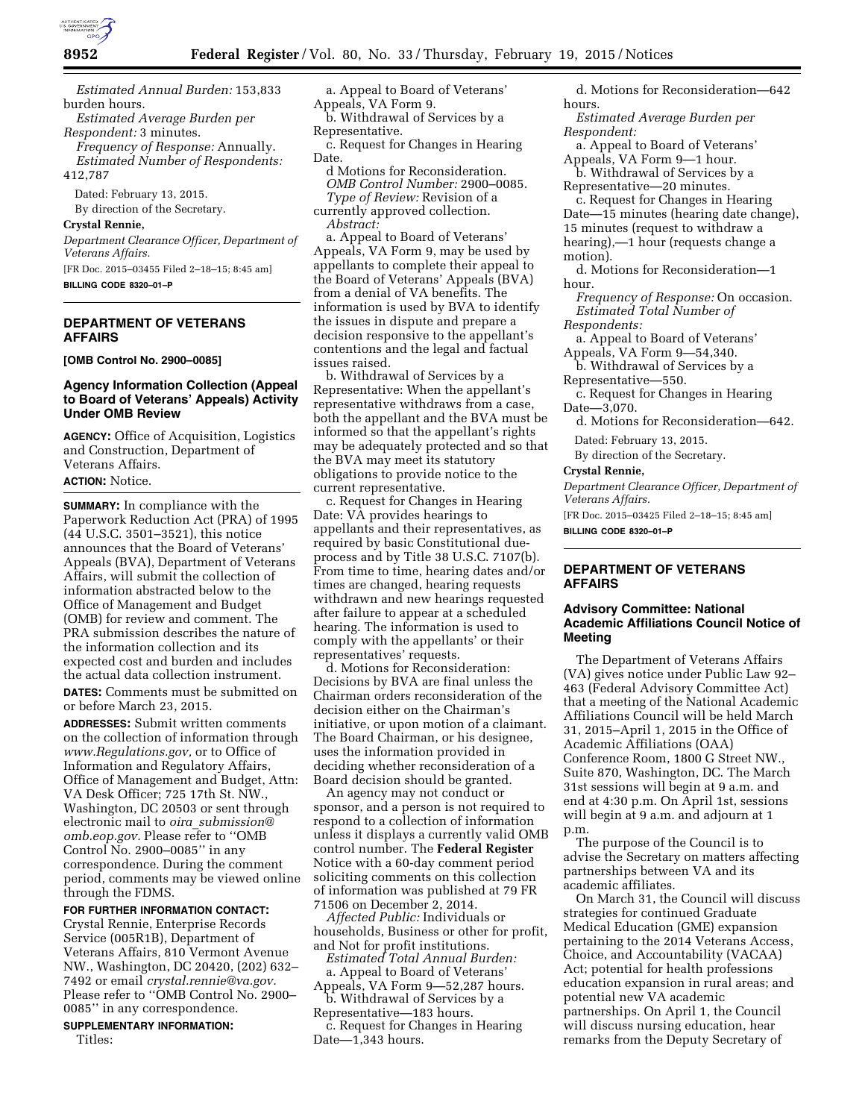

*Estimated Annual Burden:* 153,833 burden hours.

*Estimated Average Burden per Respondent:* 3 minutes.

*Frequency of Response:* Annually. *Estimated Number of Respondents:* 

412,787

Dated: February 13, 2015. By direction of the Secretary.

# **Crystal Rennie,**

*Department Clearance Officer, Department of Veterans Affairs.*  [FR Doc. 2015–03455 Filed 2–18–15; 8:45 am]

**BILLING CODE 8320–01–P** 

# **DEPARTMENT OF VETERANS AFFAIRS**

**[OMB Control No. 2900–0085]** 

### **Agency Information Collection (Appeal to Board of Veterans' Appeals) Activity Under OMB Review**

**AGENCY:** Office of Acquisition, Logistics and Construction, Department of Veterans Affairs.

#### **ACTION:** Notice.

**SUMMARY:** In compliance with the Paperwork Reduction Act (PRA) of 1995 (44 U.S.C. 3501–3521), this notice announces that the Board of Veterans' Appeals (BVA), Department of Veterans Affairs, will submit the collection of information abstracted below to the Office of Management and Budget (OMB) for review and comment. The PRA submission describes the nature of the information collection and its expected cost and burden and includes the actual data collection instrument.

**DATES:** Comments must be submitted on or before March 23, 2015.

**ADDRESSES:** Submit written comments on the collection of information through *[www.Regulations.gov,](http://www.Regulations.gov)* or to Office of Information and Regulatory Affairs, Office of Management and Budget, Attn: VA Desk Officer; 725 17th St. NW., Washington, DC 20503 or sent through electronic mail to *oira*\_*[submission@](mailto:oira_submission@omb.eop.gov) [omb.eop.gov.](mailto:oira_submission@omb.eop.gov)* Please refer to ''OMB Control No. 2900–0085'' in any correspondence. During the comment period, comments may be viewed online through the FDMS.

# **FOR FURTHER INFORMATION CONTACT:**

Crystal Rennie, Enterprise Records Service (005R1B), Department of Veterans Affairs, 810 Vermont Avenue NW., Washington, DC 20420, (202) 632– 7492 or email *[crystal.rennie@va.gov.](mailto:crystal.rennie@va.gov)*  Please refer to ''OMB Control No. 2900– 0085'' in any correspondence.

### **SUPPLEMENTARY INFORMATION:**  Titles:

a. Appeal to Board of Veterans' Appeals, VA Form 9.

b. Withdrawal of Services by a Representative.

c. Request for Changes in Hearing Date.

- d Motions for Reconsideration. *OMB Control Number:* 2900–0085.
- *Type of Review:* Revision of a currently approved collection.
	- *Abstract:*

a. Appeal to Board of Veterans' Appeals, VA Form 9, may be used by appellants to complete their appeal to the Board of Veterans' Appeals (BVA) from a denial of VA benefits. The information is used by BVA to identify the issues in dispute and prepare a decision responsive to the appellant's contentions and the legal and factual issues raised.

b. Withdrawal of Services by a Representative: When the appellant's representative withdraws from a case, both the appellant and the BVA must be informed so that the appellant's rights may be adequately protected and so that the BVA may meet its statutory obligations to provide notice to the current representative.

c. Request for Changes in Hearing Date: VA provides hearings to appellants and their representatives, as required by basic Constitutional dueprocess and by Title 38 U.S.C. 7107(b). From time to time, hearing dates and/or times are changed, hearing requests withdrawn and new hearings requested after failure to appear at a scheduled hearing. The information is used to comply with the appellants' or their representatives' requests.

d. Motions for Reconsideration: Decisions by BVA are final unless the Chairman orders reconsideration of the decision either on the Chairman's initiative, or upon motion of a claimant. The Board Chairman, or his designee, uses the information provided in deciding whether reconsideration of a Board decision should be granted.

An agency may not conduct or sponsor, and a person is not required to respond to a collection of information unless it displays a currently valid OMB control number. The **Federal Register**  Notice with a 60-day comment period soliciting comments on this collection of information was published at 79 FR 71506 on December 2, 2014.

*Affected Public:* Individuals or households, Business or other for profit, and Not for profit institutions.

*Estimated Total Annual Burden:*  a. Appeal to Board of Veterans'

Appeals, VA Form 9—52,287 hours. b. Withdrawal of Services by a

Representative—183 hours.

c. Request for Changes in Hearing Date—1,343 hours.

d. Motions for Reconsideration—642 hours.

*Estimated Average Burden per Respondent:* 

a. Appeal to Board of Veterans' Appeals, VA Form 9—1 hour.

b. Withdrawal of Services by a Representative—20 minutes.

c. Request for Changes in Hearing Date—15 minutes (hearing date change), 15 minutes (request to withdraw a hearing),—1 hour (requests change a motion).

d. Motions for Reconsideration—1 hour.

*Frequency of Response:* On occasion. *Estimated Total Number of Respondents:* 

a. Appeal to Board of Veterans' Appeals, VA Form 9—54,340.

b. Withdrawal of Services by a Representative—550.

c. Request for Changes in Hearing Date—3,070.

d. Motions for Reconsideration—642.

Dated: February 13, 2015.

By direction of the Secretary.

#### **Crystal Rennie,**

*Department Clearance Officer, Department of Veterans Affairs.* 

[FR Doc. 2015–03425 Filed 2–18–15; 8:45 am] **BILLING CODE 8320–01–P** 

# **DEPARTMENT OF VETERANS AFFAIRS**

# **Advisory Committee: National Academic Affiliations Council Notice of Meeting**

The Department of Veterans Affairs (VA) gives notice under Public Law 92– 463 (Federal Advisory Committee Act) that a meeting of the National Academic Affiliations Council will be held March 31, 2015–April 1, 2015 in the Office of Academic Affiliations (OAA) Conference Room, 1800 G Street NW., Suite 870, Washington, DC. The March 31st sessions will begin at 9 a.m. and end at 4:30 p.m. On April 1st, sessions will begin at 9 a.m. and adjourn at 1 p.m.

The purpose of the Council is to advise the Secretary on matters affecting partnerships between VA and its academic affiliates.

On March 31, the Council will discuss strategies for continued Graduate Medical Education (GME) expansion pertaining to the 2014 Veterans Access, Choice, and Accountability (VACAA) Act; potential for health professions education expansion in rural areas; and potential new VA academic partnerships. On April 1, the Council will discuss nursing education, hear remarks from the Deputy Secretary of